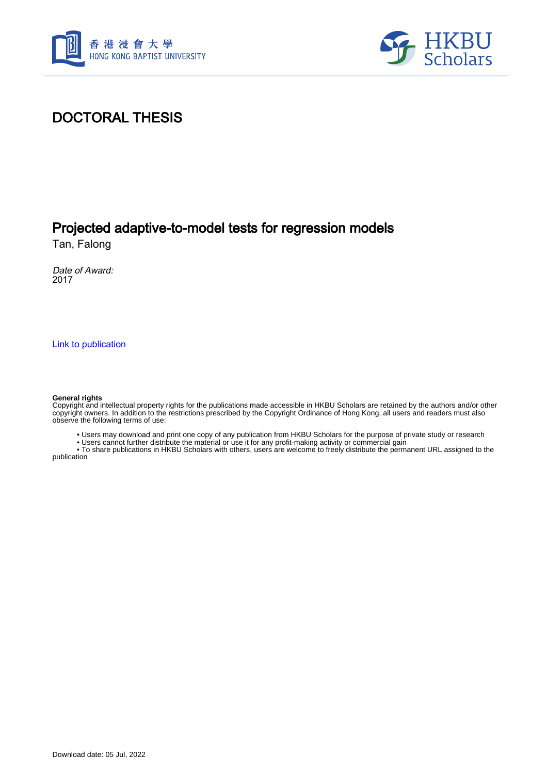



## DOCTORAL THESIS

## Projected adaptive-to-model tests for regression models

Tan, Falong

Date of Award: 2017

[Link to publication](https://scholars.hkbu.edu.hk/en/studentTheses/cfee4336-60e3-47a4-b5fa-49867bd6fc9e)

#### **General rights**

Copyright and intellectual property rights for the publications made accessible in HKBU Scholars are retained by the authors and/or other copyright owners. In addition to the restrictions prescribed by the Copyright Ordinance of Hong Kong, all users and readers must also observe the following terms of use:

• Users may download and print one copy of any publication from HKBU Scholars for the purpose of private study or research

• Users cannot further distribute the material or use it for any profit-making activity or commercial gain

 • To share publications in HKBU Scholars with others, users are welcome to freely distribute the permanent URL assigned to the publication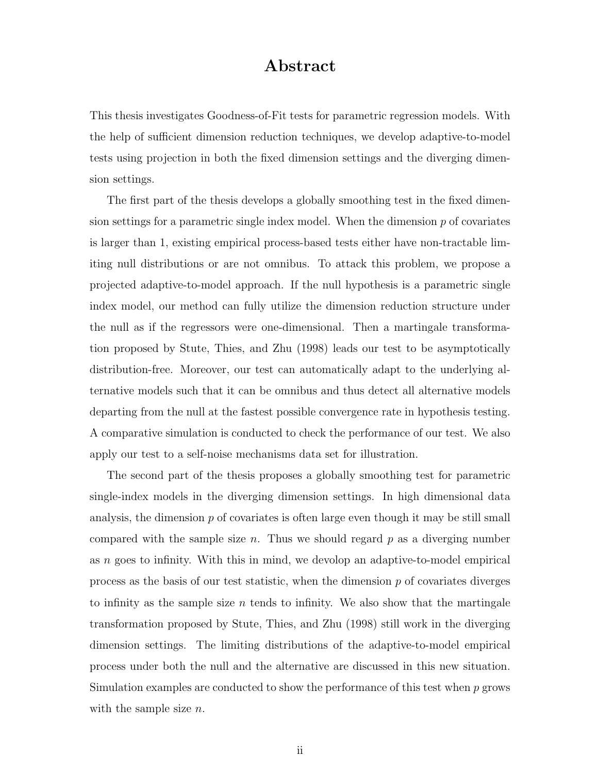### Abstract

This thesis investigates Goodness-of-Fit tests for parametric regression models. With the help of sufficient dimension reduction techniques, we develop adaptive-to-model tests using projection in both the fixed dimension settings and the diverging dimension settings.

The first part of the thesis develops a globally smoothing test in the fixed dimension settings for a parametric single index model. When the dimension  $p$  of covariates is larger than 1, existing empirical process-based tests either have non-tractable limiting null distributions or are not omnibus. To attack this problem, we propose a projected adaptive-to-model approach. If the null hypothesis is a parametric single index model, our method can fully utilize the dimension reduction structure under the null as if the regressors were one-dimensional. Then a martingale transformation proposed by Stute, Thies, and Zhu (1998) leads our test to be asymptotically distribution-free. Moreover, our test can automatically adapt to the underlying alternative models such that it can be omnibus and thus detect all alternative models departing from the null at the fastest possible convergence rate in hypothesis testing. A comparative simulation is conducted to check the performance of our test. We also apply our test to a self-noise mechanisms data set for illustration.

The second part of the thesis proposes a globally smoothing test for parametric single-index models in the diverging dimension settings. In high dimensional data analysis, the dimension  $p$  of covariates is often large even though it may be still small compared with the sample size n. Thus we should regard  $p$  as a diverging number as n goes to infinity. With this in mind, we devolop an adaptive-to-model empirical process as the basis of our test statistic, when the dimension  $p$  of covariates diverges to infinity as the sample size n tends to infinity. We also show that the martingale transformation proposed by Stute, Thies, and Zhu (1998) still work in the diverging dimension settings. The limiting distributions of the adaptive-to-model empirical process under both the null and the alternative are discussed in this new situation. Simulation examples are conducted to show the performance of this test when  $p$  grows with the sample size  $n$ .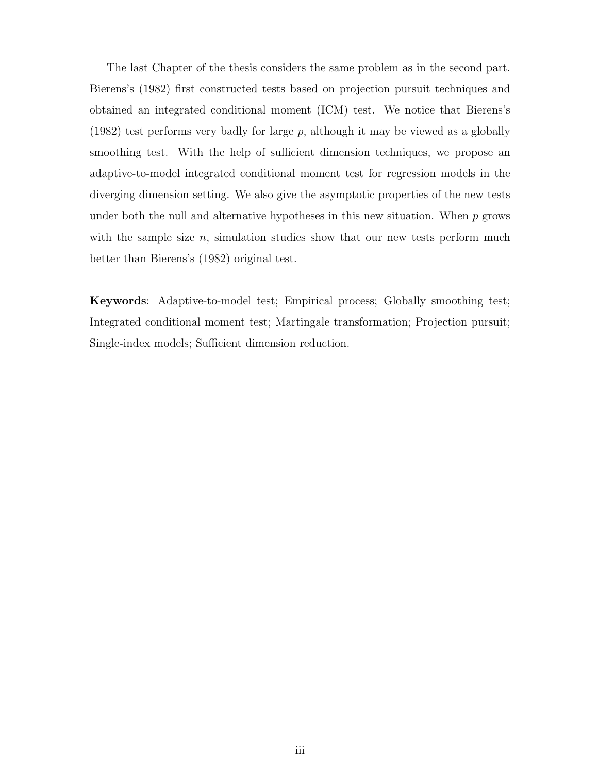The last Chapter of the thesis considers the same problem as in the second part. Bierens's (1982) first constructed tests based on projection pursuit techniques and obtained an integrated conditional moment (ICM) test. We notice that Bierens's  $(1982)$  test performs very badly for large p, although it may be viewed as a globally smoothing test. With the help of sufficient dimension techniques, we propose an adaptive-to-model integrated conditional moment test for regression models in the diverging dimension setting. We also give the asymptotic properties of the new tests under both the null and alternative hypotheses in this new situation. When  $p$  grows with the sample size  $n$ , simulation studies show that our new tests perform much better than Bierens's (1982) original test.

Keywords: Adaptive-to-model test; Empirical process; Globally smoothing test; Integrated conditional moment test; Martingale transformation; Projection pursuit; Single-index models; Sufficient dimension reduction.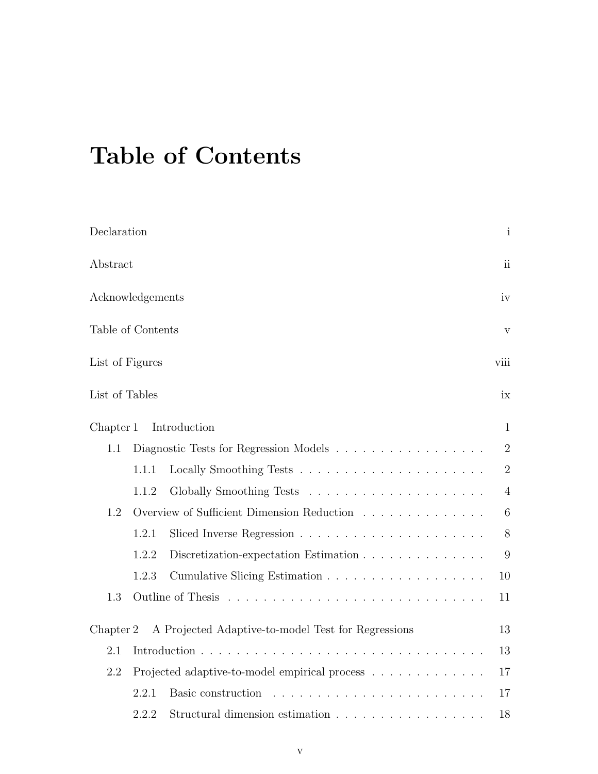# Table of Contents

| Declaration                    |                                               |                                                    | $\mathbf{i}$    |  |  |
|--------------------------------|-----------------------------------------------|----------------------------------------------------|-----------------|--|--|
| Abstract                       |                                               |                                                    |                 |  |  |
| Acknowledgements               |                                               |                                                    |                 |  |  |
| Table of Contents              |                                               |                                                    |                 |  |  |
| List of Figures                |                                               |                                                    |                 |  |  |
| List of Tables                 |                                               |                                                    | ix              |  |  |
| Introduction<br>Chapter 1<br>1 |                                               |                                                    |                 |  |  |
| 1.1                            |                                               | Diagnostic Tests for Regression Models             | $\overline{2}$  |  |  |
|                                | 1.1.1                                         |                                                    | $\overline{2}$  |  |  |
|                                | 1.1.2                                         |                                                    | $\overline{4}$  |  |  |
| 1.2                            |                                               | Overview of Sufficient Dimension Reduction         | $6\phantom{.}6$ |  |  |
|                                | 1.2.1                                         |                                                    | 8               |  |  |
|                                | 1.2.2                                         | Discretization-expectation Estimation              | 9               |  |  |
|                                | 1.2.3                                         |                                                    | 10              |  |  |
| 1.3                            |                                               | Outline of Thesis                                  | 11              |  |  |
| Chapter 2                      |                                               | A Projected Adaptive-to-model Test for Regressions | 13              |  |  |
| 2.1                            | 13                                            |                                                    |                 |  |  |
| 2.2                            | Projected adaptive-to-model empirical process |                                                    | 17              |  |  |
|                                | 2.2.1                                         | Basic construction                                 | 17              |  |  |
|                                | 2.2.2                                         | Structural dimension estimation                    | 18              |  |  |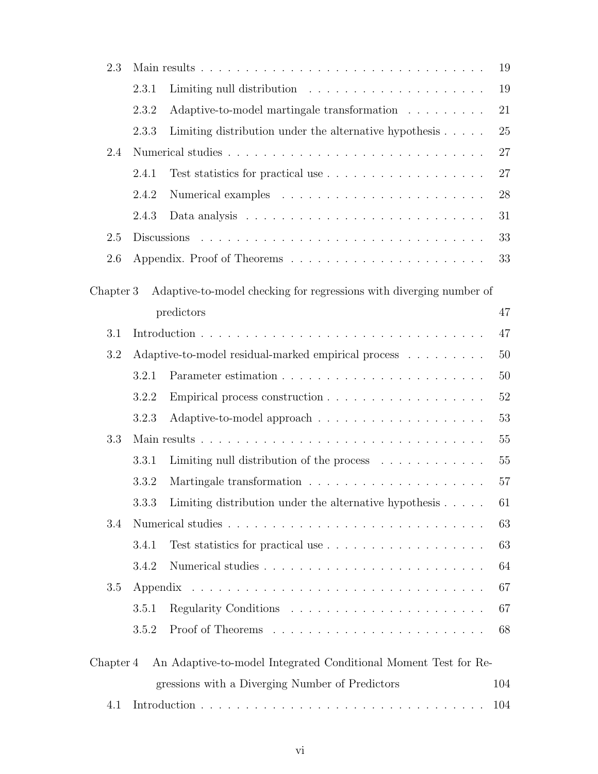| 2.3       |       |                                                                               |        |  |
|-----------|-------|-------------------------------------------------------------------------------|--------|--|
|           | 2.3.1 |                                                                               | 19     |  |
|           | 2.3.2 | Adaptive-to-model martingale transformation $\ldots \ldots \ldots$            | 21     |  |
|           | 2.3.3 | Limiting distribution under the alternative hypothesis $\ldots$ .             | 25     |  |
| 2.4       |       |                                                                               |        |  |
|           | 2.4.1 | Test statistics for practical use $\dots \dots \dots \dots \dots \dots \dots$ | 27     |  |
|           | 2.4.2 |                                                                               | 28     |  |
|           | 2.4.3 |                                                                               | 31     |  |
| 2.5       |       |                                                                               | 33     |  |
| 2.6       |       |                                                                               | 33     |  |
| Chapter 3 |       | Adaptive-to-model checking for regressions with diverging number of           |        |  |
|           |       | predictors                                                                    | 47     |  |
| 3.1       |       |                                                                               | 47     |  |
| 3.2       |       | Adaptive-to-model residual-marked empirical process                           | 50     |  |
|           | 3.2.1 |                                                                               | 50     |  |
|           | 3.2.2 |                                                                               | $52\,$ |  |
|           | 3.2.3 |                                                                               | 53     |  |
| 3.3       |       |                                                                               | 55     |  |
|           | 3.3.1 | Limiting null distribution of the process $\dots \dots \dots$                 | $55\,$ |  |
|           | 3.3.2 |                                                                               | 57     |  |
|           |       | 3.3.3 Limiting distribution under the alternative hypothesis                  | 61     |  |
| 3.4       |       |                                                                               | 63     |  |
|           | 3.4.1 |                                                                               | 63     |  |
|           | 3.4.2 |                                                                               | 64     |  |
| 3.5       |       |                                                                               |        |  |
|           | 3.5.1 |                                                                               | 67     |  |
|           | 3.5.2 |                                                                               | 68     |  |
| Chapter 4 |       | An Adaptive-to-model Integrated Conditional Moment Test for Re-               |        |  |
|           |       | gressions with a Diverging Number of Predictors                               | 104    |  |
| 4.1       |       |                                                                               | 104    |  |